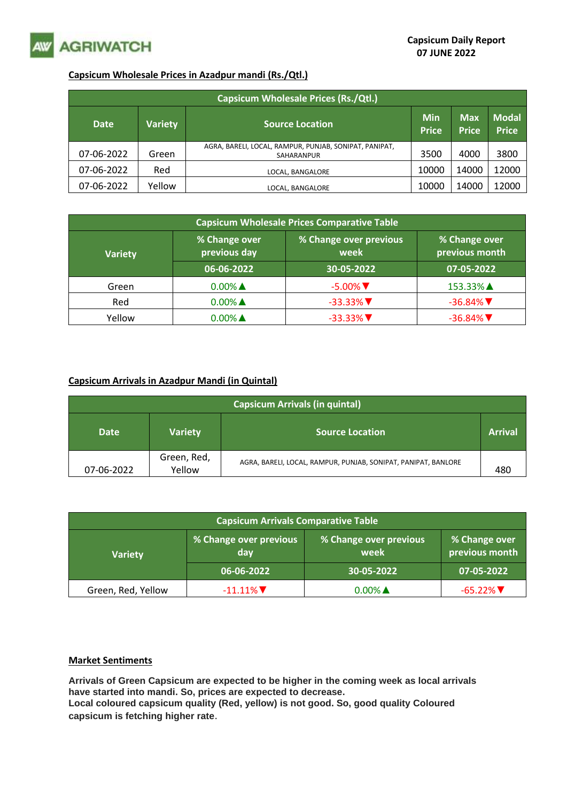

## **Capsicum Wholesale Prices in Azadpur mandi (Rs./Qtl.)**

| <b>Capsicum Wholesale Prices (Rs./Qtl.)</b> |                |                                                                      |                            |                            |                              |  |  |
|---------------------------------------------|----------------|----------------------------------------------------------------------|----------------------------|----------------------------|------------------------------|--|--|
| <b>Date</b>                                 | <b>Variety</b> | <b>Source Location</b>                                               | <b>Min</b><br><b>Price</b> | <b>Max</b><br><b>Price</b> | <b>Modal</b><br><b>Price</b> |  |  |
| 07-06-2022                                  | Green          | AGRA, BARELI, LOCAL, RAMPUR, PUNJAB, SONIPAT, PANIPAT,<br>SAHARANPUR | 3500                       | 4000                       | 3800                         |  |  |
| 07-06-2022                                  | Red            | LOCAL, BANGALORE                                                     | 10000                      | 14000                      | 12000                        |  |  |
| 07-06-2022                                  | Yellow         | LOCAL. BANGALORE                                                     | 10000                      | 14000                      | 12000                        |  |  |

| <b>Capsicum Wholesale Prices Comparative Table</b> |                               |                                |                                 |  |  |  |
|----------------------------------------------------|-------------------------------|--------------------------------|---------------------------------|--|--|--|
| <b>Variety</b>                                     | % Change over<br>previous day | % Change over previous<br>week | % Change over<br>previous month |  |  |  |
|                                                    | 06-06-2022                    | 30-05-2022                     | 07-05-2022                      |  |  |  |
| Green                                              | $0.00\%$ $\triangle$          | $-5.00\%$                      | 153.33% ▲                       |  |  |  |
| Red                                                | $0.00\%$ $\triangle$          | $-33.33\%$                     | $-36.84\%$                      |  |  |  |
| Yellow                                             | $0.00\%$ $\triangle$          | $-33.33\%$                     | $-36.84\%$                      |  |  |  |

## **Capsicum Arrivals in Azadpur Mandi (in Quintal)**

| <b>Capsicum Arrivals (in quintal)</b> |                       |                                                                |     |  |  |  |
|---------------------------------------|-----------------------|----------------------------------------------------------------|-----|--|--|--|
| <b>Date</b>                           | <b>Variety</b>        | <b>Source Location</b>                                         |     |  |  |  |
| 07-06-2022                            | Green, Red,<br>Yellow | AGRA, BARELI, LOCAL, RAMPUR, PUNJAB, SONIPAT, PANIPAT, BANLORE | 480 |  |  |  |

| <b>Capsicum Arrivals Comparative Table</b> |                               |                                |                                 |  |  |  |
|--------------------------------------------|-------------------------------|--------------------------------|---------------------------------|--|--|--|
| <b>Variety</b>                             | % Change over previous<br>day | % Change over previous<br>week | % Change over<br>previous month |  |  |  |
|                                            | 06-06-2022                    | 30-05-2022                     | 07-05-2022                      |  |  |  |
| Green, Red, Yellow                         | $-11.11\%$ $\nabla$           | $0.00\%$ $\triangle$           | $-65.22\%$                      |  |  |  |

## **Market Sentiments**

**Arrivals of Green Capsicum are expected to be higher in the coming week as local arrivals have started into mandi. So, prices are expected to decrease. Local coloured capsicum quality (Red, yellow) is not good. So, good quality Coloured** 

**capsicum is fetching higher rate**.